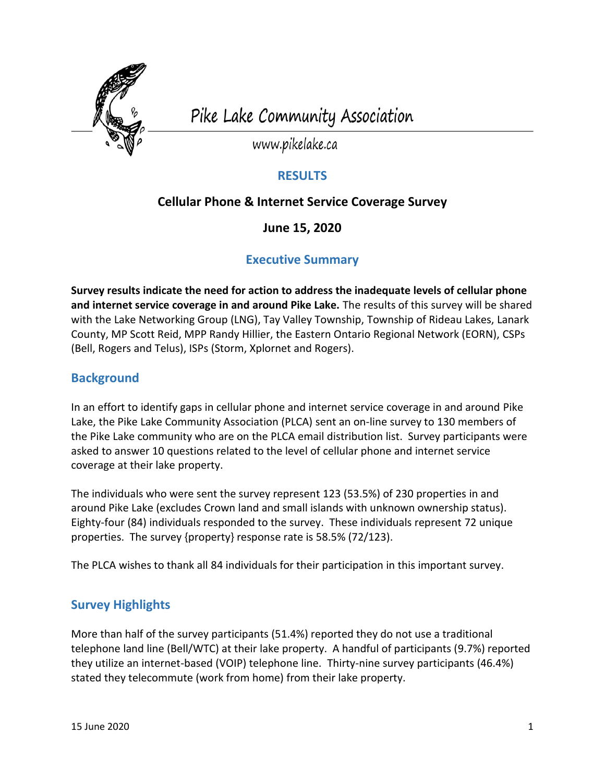

Pike Lake Community Association

www.pikelake.ca

#### **RESULTS**

### **Cellular Phone & Internet Service Coverage Survey**

**June 15, 2020**

#### **Executive Summary**

**Survey results indicate the need for action to address the inadequate levels of cellular phone and internet service coverage in and around Pike Lake.** The results of this survey will be shared with the Lake Networking Group (LNG), Tay Valley Township, Township of Rideau Lakes, Lanark County, MP Scott Reid, MPP Randy Hillier, the Eastern Ontario Regional Network (EORN), CSPs (Bell, Rogers and Telus), ISPs (Storm, Xplornet and Rogers).

## **Background**

In an effort to identify gaps in cellular phone and internet service coverage in and around Pike Lake, the Pike Lake Community Association (PLCA) sent an on-line survey to 130 members of the Pike Lake community who are on the PLCA email distribution list. Survey participants were asked to answer 10 questions related to the level of cellular phone and internet service coverage at their lake property.

The individuals who were sent the survey represent 123 (53.5%) of 230 properties in and around Pike Lake (excludes Crown land and small islands with unknown ownership status). Eighty-four (84) individuals responded to the survey. These individuals represent 72 unique properties. The survey {property} response rate is 58.5% (72/123).

The PLCA wishes to thank all 84 individuals for their participation in this important survey.

# **Survey Highlights**

More than half of the survey participants (51.4%) reported they do not use a traditional telephone land line (Bell/WTC) at their lake property. A handful of participants (9.7%) reported they utilize an internet-based (VOIP) telephone line. Thirty-nine survey participants (46.4%) stated they telecommute (work from home) from their lake property.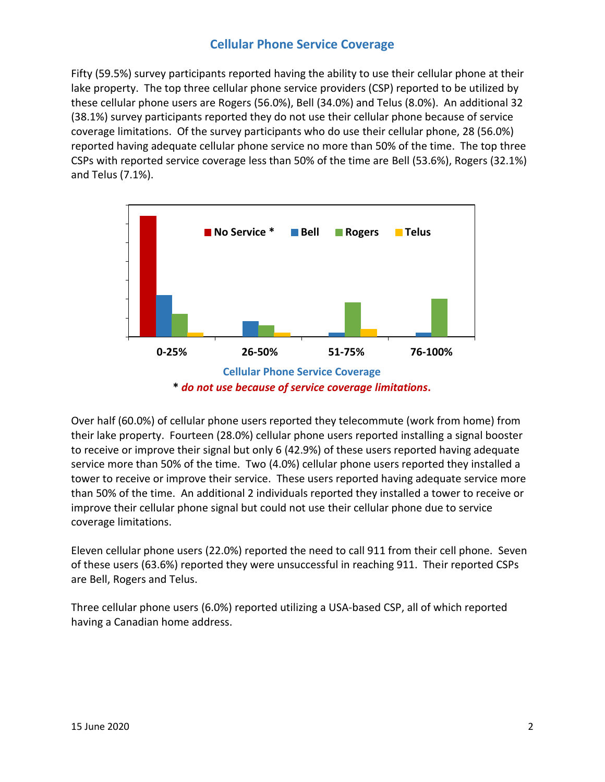### **Cellular Phone Service Coverage**

Fifty (59.5%) survey participants reported having the ability to use their cellular phone at their lake property. The top three cellular phone service providers (CSP) reported to be utilized by these cellular phone users are Rogers (56.0%), Bell (34.0%) and Telus (8.0%). An additional 32 (38.1%) survey participants reported they do not use their cellular phone because of service coverage limitations. Of the survey participants who do use their cellular phone, 28 (56.0%) reported having adequate cellular phone service no more than 50% of the time. The top three CSPs with reported service coverage less than 50% of the time are Bell (53.6%), Rogers (32.1%) and Telus (7.1%).



**\*** *do not use because of service coverage limitations***.**

Over half (60.0%) of cellular phone users reported they telecommute (work from home) from their lake property. Fourteen (28.0%) cellular phone users reported installing a signal booster to receive or improve their signal but only 6 (42.9%) of these users reported having adequate service more than 50% of the time. Two (4.0%) cellular phone users reported they installed a tower to receive or improve their service. These users reported having adequate service more than 50% of the time. An additional 2 individuals reported they installed a tower to receive or improve their cellular phone signal but could not use their cellular phone due to service coverage limitations.

Eleven cellular phone users (22.0%) reported the need to call 911 from their cell phone. Seven of these users (63.6%) reported they were unsuccessful in reaching 911. Their reported CSPs are Bell, Rogers and Telus.

Three cellular phone users (6.0%) reported utilizing a USA-based CSP, all of which reported having a Canadian home address.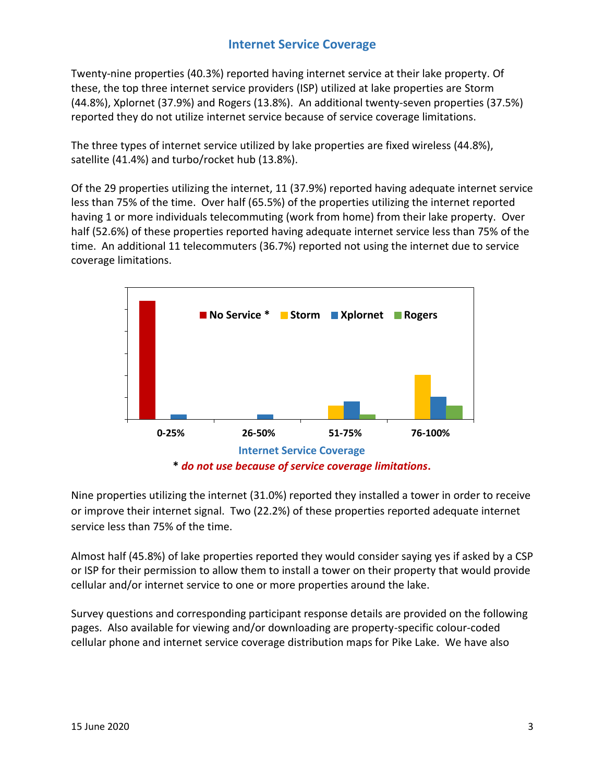## **Internet Service Coverage**

Twenty-nine properties (40.3%) reported having internet service at their lake property. Of these, the top three internet service providers (ISP) utilized at lake properties are Storm (44.8%), Xplornet (37.9%) and Rogers (13.8%). An additional twenty-seven properties (37.5%) reported they do not utilize internet service because of service coverage limitations.

The three types of internet service utilized by lake properties are fixed wireless (44.8%), satellite (41.4%) and turbo/rocket hub (13.8%).

Of the 29 properties utilizing the internet, 11 (37.9%) reported having adequate internet service less than 75% of the time. Over half (65.5%) of the properties utilizing the internet reported having 1 or more individuals telecommuting (work from home) from their lake property. Over half (52.6%) of these properties reported having adequate internet service less than 75% of the time. An additional 11 telecommuters (36.7%) reported not using the internet due to service coverage limitations.



Nine properties utilizing the internet (31.0%) reported they installed a tower in order to receive or improve their internet signal. Two (22.2%) of these properties reported adequate internet service less than 75% of the time.

Almost half (45.8%) of lake properties reported they would consider saying yes if asked by a CSP or ISP for their permission to allow them to install a tower on their property that would provide cellular and/or internet service to one or more properties around the lake.

Survey questions and corresponding participant response details are provided on the following pages. Also available for viewing and/or downloading are property-specific colour-coded cellular phone and internet service coverage distribution maps for Pike Lake. We have also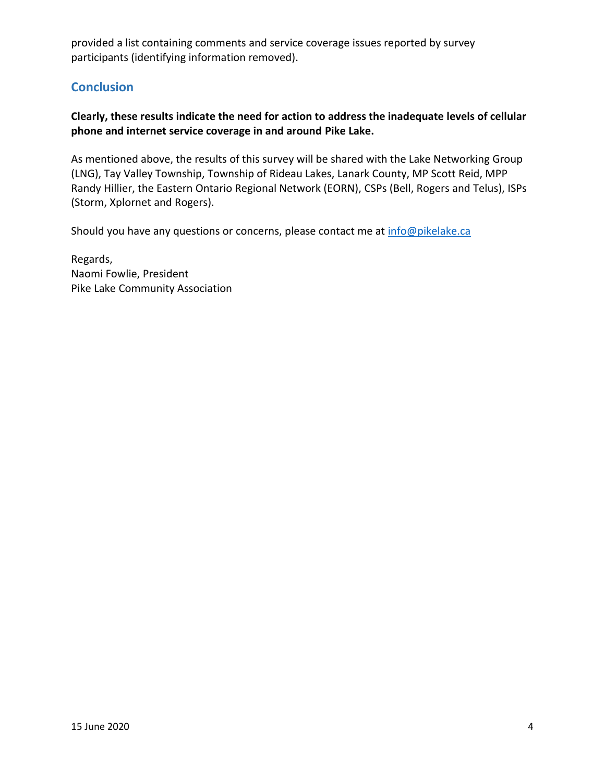provided a list containing comments and service coverage issues reported by survey participants (identifying information removed).

### **Conclusion**

#### **Clearly, these results indicate the need for action to address the inadequate levels of cellular phone and internet service coverage in and around Pike Lake.**

As mentioned above, the results of this survey will be shared with the Lake Networking Group (LNG), Tay Valley Township, Township of Rideau Lakes, Lanark County, MP Scott Reid, MPP Randy Hillier, the Eastern Ontario Regional Network (EORN), CSPs (Bell, Rogers and Telus), ISPs (Storm, Xplornet and Rogers).

Should you have any questions or concerns, please contact me at info@pikelake.ca

Regards, Naomi Fowlie, President Pike Lake Community Association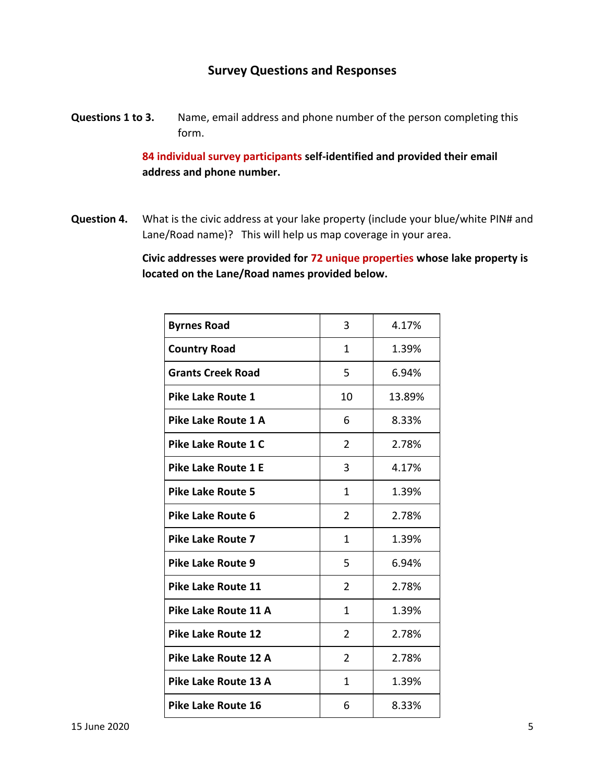#### **Survey Questions and Responses**

**Questions 1 to 3.** Name, email address and phone number of the person completing this form.

> **84 individual survey participants self-identified and provided their email address and phone number.**

**Question 4.** What is the civic address at your lake property (include your blue/white PIN# and Lane/Road name)? This will help us map coverage in your area.

> **Civic addresses were provided for 72 unique properties whose lake property is located on the Lane/Road names provided below.**

| <b>Byrnes Road</b>         | 3              | 4.17%  |
|----------------------------|----------------|--------|
| <b>Country Road</b>        | $\mathbf{1}$   | 1.39%  |
| <b>Grants Creek Road</b>   | 5              | 6.94%  |
| Pike Lake Route 1          | 10             | 13.89% |
| Pike Lake Route 1 A        | 6              | 8.33%  |
| Pike Lake Route 1 C        | 2              | 2.78%  |
| <b>Pike Lake Route 1 E</b> | 3              | 4.17%  |
| <b>Pike Lake Route 5</b>   | 1              | 1.39%  |
| <b>Pike Lake Route 6</b>   | 2              | 2.78%  |
| <b>Pike Lake Route 7</b>   | 1              | 1.39%  |
| <b>Pike Lake Route 9</b>   | 5              | 6.94%  |
| <b>Pike Lake Route 11</b>  | $\overline{2}$ | 2.78%  |
| Pike Lake Route 11 A       | $\mathbf{1}$   | 1.39%  |
| <b>Pike Lake Route 12</b>  | $\overline{2}$ | 2.78%  |
| Pike Lake Route 12 A       | $\overline{2}$ | 2.78%  |
| Pike Lake Route 13 A       | 1              | 1.39%  |
| <b>Pike Lake Route 16</b>  | 6              | 8.33%  |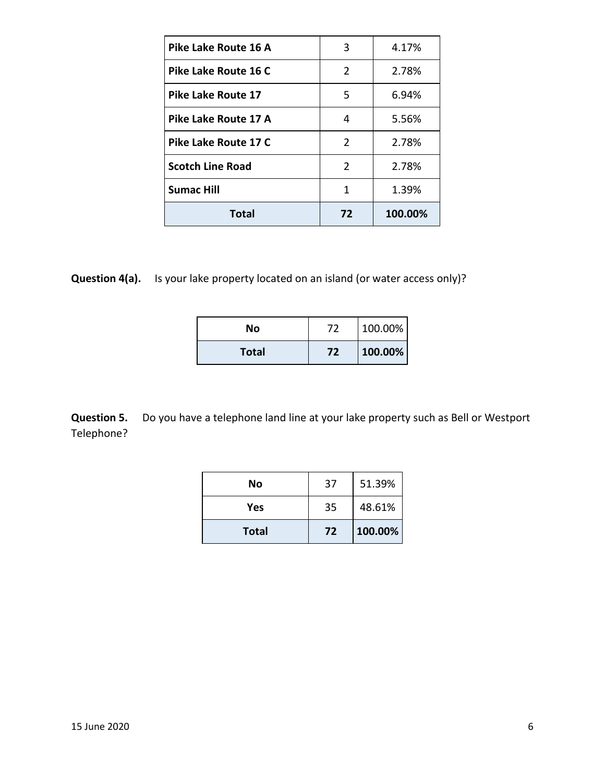| Pike Lake Route 16 A      | 3  | 4.17%   |
|---------------------------|----|---------|
| Pike Lake Route 16 C      | 2  | 2.78%   |
| <b>Pike Lake Route 17</b> | 5  | 6.94%   |
| Pike Lake Route 17 A      | 4  | 5.56%   |
| Pike Lake Route 17 C      | 2  | 2.78%   |
| <b>Scotch Line Road</b>   | 2  | 2.78%   |
| <b>Sumac Hill</b>         | 1  | 1.39%   |
| Total                     | 72 | 100.00% |

**Question 4(a).** Is your lake property located on an island (or water access only)?

| No           | 72 | 100.00% |
|--------------|----|---------|
| <b>Total</b> | 72 | 100.00% |

**Question 5.** Do you have a telephone land line at your lake property such as Bell or Westport Telephone?

| No           | 37 | 51.39%  |
|--------------|----|---------|
| Yes          | 35 | 48.61%  |
| <b>Total</b> | 72 | 100.00% |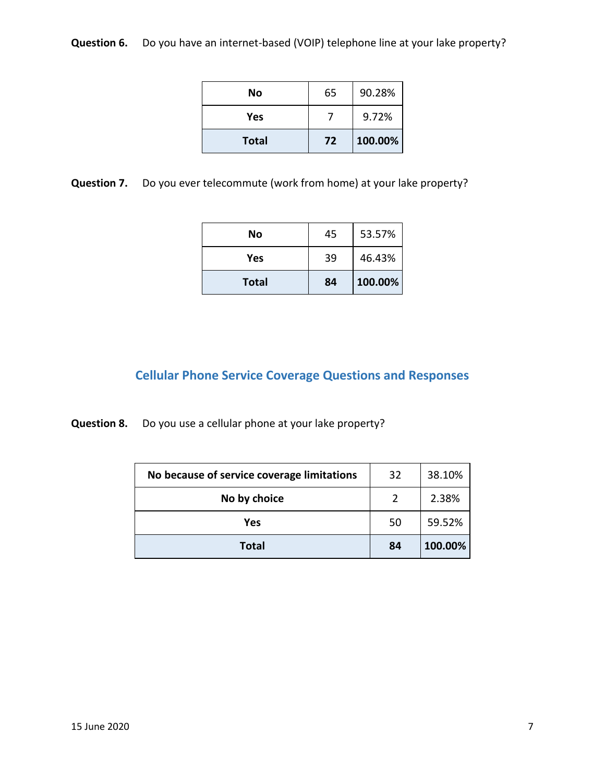**Question 6.** Do you have an internet-based (VOIP) telephone line at your lake property?

| No           | 65 | 90.28%  |
|--------------|----|---------|
| Yes          |    | 9.72%   |
| <b>Total</b> | 72 | 100.00% |

**Question 7.** Do you ever telecommute (work from home) at your lake property?

| No           | 45 | 53.57%  |
|--------------|----|---------|
| Yes          | 39 | 46.43%  |
| <b>Total</b> | 84 | 100.00% |

# **Cellular Phone Service Coverage Questions and Responses**

**Question 8.** Do you use a cellular phone at your lake property?

| No because of service coverage limitations | 32 | 38.10%  |
|--------------------------------------------|----|---------|
| No by choice                               |    | 2.38%   |
| Yes                                        | 50 | 59.52%  |
| Total                                      | 84 | 100.00% |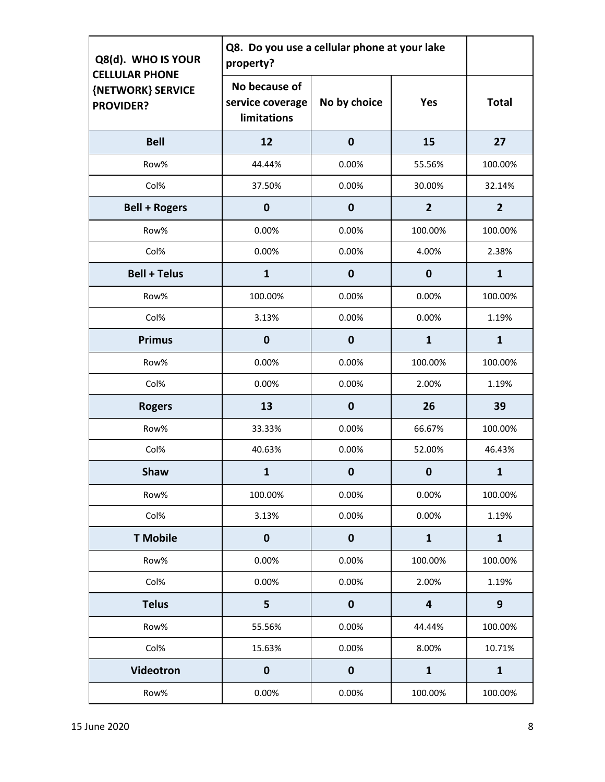| Q8(d). WHO IS YOUR<br><b>CELLULAR PHONE</b> | Q8. Do you use a cellular phone at your lake<br>property? |                  |                         |                |
|---------------------------------------------|-----------------------------------------------------------|------------------|-------------------------|----------------|
| {NETWORK} SERVICE<br><b>PROVIDER?</b>       | No because of<br>service coverage<br>limitations          | No by choice     | Yes                     | <b>Total</b>   |
| <b>Bell</b>                                 | 12                                                        | $\mathbf 0$      | 15                      | 27             |
| Row%                                        | 44.44%                                                    | 0.00%            | 55.56%                  | 100.00%        |
| Col%                                        | 37.50%                                                    | 0.00%            | 30.00%                  | 32.14%         |
| <b>Bell + Rogers</b>                        | $\mathbf 0$                                               | $\mathbf 0$      | $\overline{2}$          | $\overline{2}$ |
| Row%                                        | 0.00%                                                     | 0.00%            | 100.00%                 | 100.00%        |
| Col%                                        | 0.00%                                                     | 0.00%            | 4.00%                   | 2.38%          |
| <b>Bell + Telus</b>                         | $\mathbf{1}$                                              | $\mathbf 0$      | $\bf{0}$                | $\mathbf{1}$   |
| Row%                                        | 100.00%                                                   | 0.00%            | 0.00%                   | 100.00%        |
| Col%                                        | 3.13%                                                     | 0.00%            | 0.00%                   | 1.19%          |
| <b>Primus</b>                               | $\mathbf 0$                                               | $\mathbf 0$      | $\mathbf{1}$            | $\mathbf{1}$   |
| Row%                                        | 0.00%                                                     | 0.00%            | 100.00%                 | 100.00%        |
| Col%                                        | 0.00%                                                     | 0.00%            | 2.00%                   | 1.19%          |
| <b>Rogers</b>                               | 13                                                        | $\mathbf 0$      | 26                      | 39             |
| Row%                                        | 33.33%                                                    | 0.00%            | 66.67%                  | 100.00%        |
| Col%                                        | 40.63%                                                    | 0.00%            | 52.00%                  | 46.43%         |
| <b>Shaw</b>                                 | $\mathbf{1}$                                              | $\boldsymbol{0}$ | 0                       | $\mathbf{1}$   |
| Row%                                        | 100.00%                                                   | 0.00%            | 0.00%                   | 100.00%        |
| Col%                                        | 3.13%                                                     | 0.00%            | 0.00%                   | 1.19%          |
| <b>T</b> Mobile                             | $\mathbf 0$                                               | $\pmb{0}$        | $\mathbf{1}$            | $\mathbf{1}$   |
| Row%                                        | 0.00%                                                     | 0.00%            | 100.00%                 | 100.00%        |
| Col%                                        | 0.00%                                                     | 0.00%            | 2.00%                   | 1.19%          |
| <b>Telus</b>                                | 5                                                         | $\mathbf 0$      | $\overline{\mathbf{4}}$ | 9              |
| Row%                                        | 55.56%                                                    | 0.00%            | 44.44%                  | 100.00%        |
| Col%                                        | 15.63%                                                    | 0.00%            | 8.00%                   | 10.71%         |
| Videotron                                   | $\mathbf 0$                                               | $\mathbf 0$      | $\mathbf{1}$            | $\mathbf{1}$   |
| Row%                                        | 0.00%                                                     | 0.00%            | 100.00%                 | 100.00%        |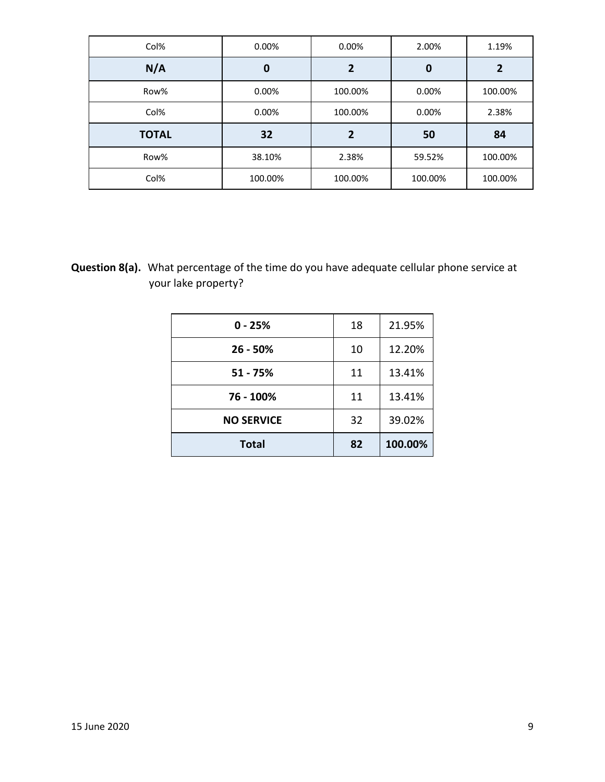| Col%         | 0.00%   | 0.00%          | 2.00%   | 1.19%          |
|--------------|---------|----------------|---------|----------------|
| N/A          | 0       | $\overline{2}$ | 0       | $\overline{2}$ |
| Row%         | 0.00%   | 100.00%        | 0.00%   | 100.00%        |
| Col%         | 0.00%   | 100.00%        | 0.00%   | 2.38%          |
| <b>TOTAL</b> | 32      | 2              | 50      | 84             |
| Row%         | 38.10%  | 2.38%          | 59.52%  | 100.00%        |
| Col%         | 100.00% | 100.00%        | 100.00% | 100.00%        |

**Question 8(a).** What percentage of the time do you have adequate cellular phone service at your lake property?

| $0 - 25%$         | 18 | 21.95%  |
|-------------------|----|---------|
| $26 - 50%$        | 10 | 12.20%  |
| 51 - 75%          | 11 | 13.41%  |
| 76 - 100%         | 11 | 13.41%  |
| <b>NO SERVICE</b> | 32 | 39.02%  |
| <b>Total</b>      | 82 | 100.00% |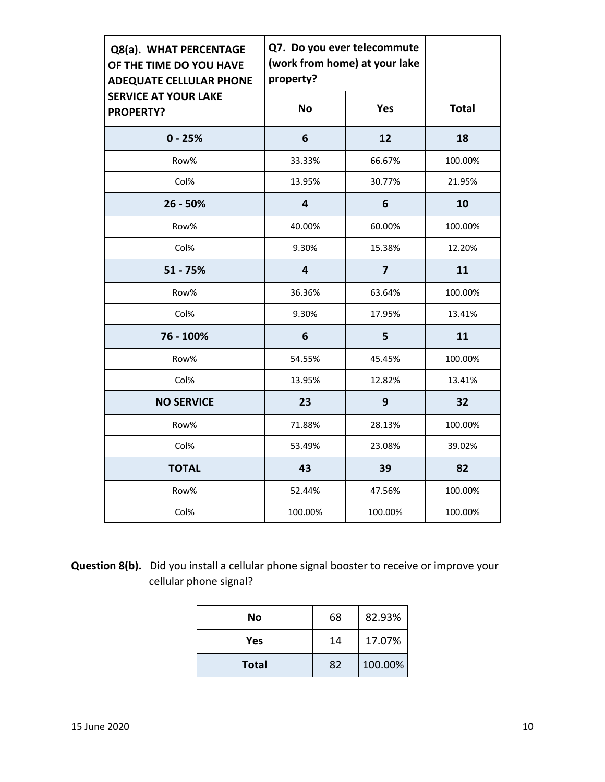| Q8(a). WHAT PERCENTAGE<br>OF THE TIME DO YOU HAVE<br><b>ADEQUATE CELLULAR PHONE</b> | Q7. Do you ever telecommute<br>(work from home) at your lake<br>property? |                |              |
|-------------------------------------------------------------------------------------|---------------------------------------------------------------------------|----------------|--------------|
| <b>SERVICE AT YOUR LAKE</b><br><b>PROPERTY?</b>                                     | <b>No</b>                                                                 | <b>Yes</b>     | <b>Total</b> |
| $0 - 25%$                                                                           | 6                                                                         | 12             | 18           |
| Row%                                                                                | 33.33%                                                                    | 66.67%         | 100.00%      |
| Col%                                                                                | 13.95%                                                                    | 30.77%         | 21.95%       |
| $26 - 50%$                                                                          | $\overline{\mathbf{4}}$                                                   | 6              | 10           |
| Row%                                                                                | 40.00%                                                                    | 60.00%         | 100.00%      |
| Col%                                                                                | 9.30%                                                                     | 15.38%         | 12.20%       |
| $51 - 75%$                                                                          | $\overline{\mathbf{4}}$                                                   | $\overline{7}$ | 11           |
| Row%                                                                                | 36.36%                                                                    | 63.64%         | 100.00%      |
| Col%                                                                                | 9.30%                                                                     | 17.95%         | 13.41%       |
| 76 - 100%                                                                           | 6                                                                         | 5              | 11           |
| Row%                                                                                | 54.55%                                                                    | 45.45%         | 100.00%      |
| Col%                                                                                | 13.95%                                                                    | 12.82%         | 13.41%       |
| <b>NO SERVICE</b>                                                                   | 23                                                                        | 9              | 32           |
| Row%                                                                                | 71.88%                                                                    | 28.13%         | 100.00%      |
| Col%                                                                                | 53.49%                                                                    | 23.08%         | 39.02%       |
| <b>TOTAL</b>                                                                        | 43                                                                        | 39             | 82           |
| Row%                                                                                | 52.44%                                                                    | 47.56%         | 100.00%      |
| Col%                                                                                | 100.00%                                                                   | 100.00%        | 100.00%      |

# **Question 8(b).** Did you install a cellular phone signal booster to receive or improve your cellular phone signal?

| No           | 68 | 82.93%  |
|--------------|----|---------|
| Yes          | 14 | 17.07%  |
| <b>Total</b> | 82 | 100.00% |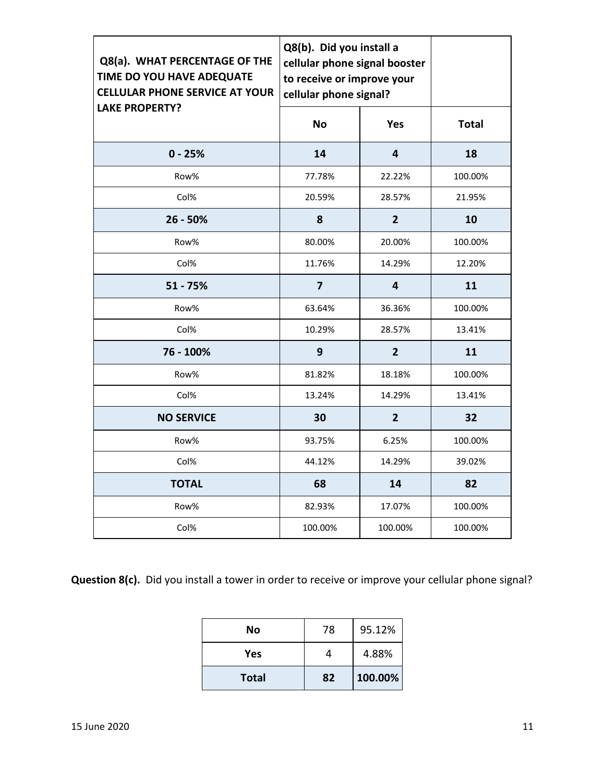| Q8(a). WHAT PERCENTAGE OF THE<br>TIME DO YOU HAVE ADEQUATE<br><b>CELLULAR PHONE SERVICE AT YOUR</b> | Q8(b). Did you install a<br>cellular phone signal booster<br>to receive or improve your<br>cellular phone signal? |                |              |
|-----------------------------------------------------------------------------------------------------|-------------------------------------------------------------------------------------------------------------------|----------------|--------------|
| <b>LAKE PROPERTY?</b>                                                                               | <b>No</b>                                                                                                         | Yes            | <b>Total</b> |
| $0 - 25%$                                                                                           | 14                                                                                                                | 4              | 18           |
| Row%                                                                                                | 77.78%                                                                                                            | 22.22%         | 100.00%      |
| Col%                                                                                                | 20.59%                                                                                                            | 28.57%         | 21.95%       |
| $26 - 50%$                                                                                          | 8                                                                                                                 | $\overline{2}$ | 10           |
| Row%                                                                                                | 80.00%                                                                                                            | 20.00%         | 100.00%      |
| Col%                                                                                                | 11.76%                                                                                                            | 14.29%         | 12.20%       |
| $51 - 75%$                                                                                          | $\overline{\mathbf{z}}$                                                                                           | 4              | 11           |
| Row%                                                                                                | 63.64%                                                                                                            | 36.36%         | 100.00%      |
| Col%                                                                                                | 10.29%                                                                                                            | 28.57%         | 13.41%       |
| 76 - 100%                                                                                           | 9                                                                                                                 | $\overline{2}$ | 11           |
| Row%                                                                                                | 81.82%                                                                                                            | 18.18%         | 100.00%      |
| Col%                                                                                                | 13.24%                                                                                                            | 14.29%         | 13.41%       |
| <b>NO SERVICE</b>                                                                                   | 30                                                                                                                | $\overline{2}$ | 32           |
| Row%                                                                                                | 93.75%                                                                                                            | 6.25%          | 100.00%      |
| Col%                                                                                                | 44.12%                                                                                                            | 14.29%         | 39.02%       |
| <b>TOTAL</b>                                                                                        | 68                                                                                                                | 14             | 82           |
| Row%                                                                                                | 82.93%                                                                                                            | 17.07%         | 100.00%      |
| Col%                                                                                                | 100.00%                                                                                                           | 100.00%        | 100.00%      |

**Question 8(c).** Did you install a tower in order to receive or improve your cellular phone signal?

| <b>Total</b> | 82 | 100.00% |
|--------------|----|---------|
| Yes          |    | 4.88%   |
| No           | 78 | 95.12%  |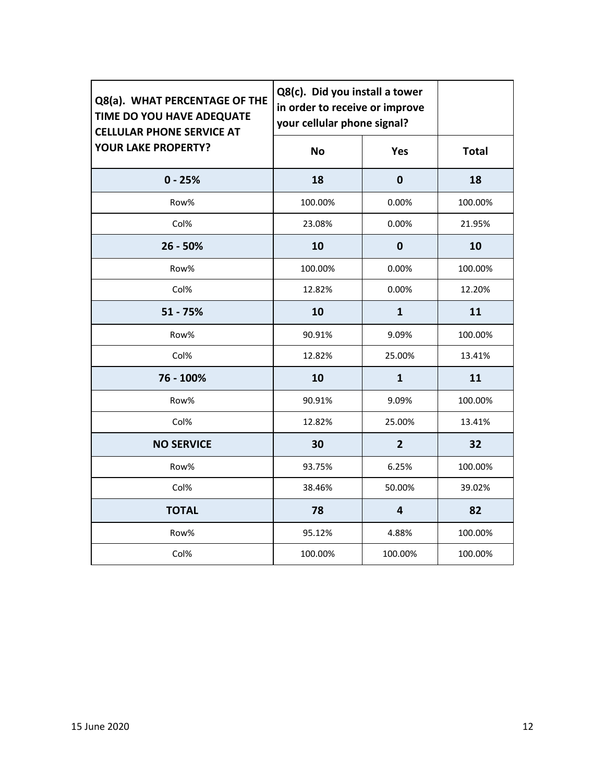| Q8(a). WHAT PERCENTAGE OF THE<br>TIME DO YOU HAVE ADEQUATE<br><b>CELLULAR PHONE SERVICE AT</b> | Q8(c). Did you install a tower<br>in order to receive or improve<br>your cellular phone signal? |                |              |
|------------------------------------------------------------------------------------------------|-------------------------------------------------------------------------------------------------|----------------|--------------|
| <b>YOUR LAKE PROPERTY?</b>                                                                     | <b>No</b>                                                                                       | <b>Yes</b>     | <b>Total</b> |
| $0 - 25%$                                                                                      | 18                                                                                              | $\bf{0}$       | 18           |
| Row%                                                                                           | 100.00%                                                                                         | 0.00%          | 100.00%      |
| Col%                                                                                           | 23.08%                                                                                          | 0.00%          | 21.95%       |
| $26 - 50%$                                                                                     | 10                                                                                              | $\mathbf 0$    | 10           |
| Row%                                                                                           | 100.00%                                                                                         | 0.00%          | 100.00%      |
| Col%                                                                                           | 12.82%                                                                                          | 0.00%          | 12.20%       |
| $51 - 75%$                                                                                     | 10                                                                                              | $\mathbf{1}$   | 11           |
| Row%                                                                                           | 90.91%                                                                                          | 9.09%          | 100.00%      |
| Col%                                                                                           | 12.82%                                                                                          | 25.00%         | 13.41%       |
| 76 - 100%                                                                                      | 10                                                                                              | $\mathbf{1}$   | 11           |
| Row%                                                                                           | 90.91%                                                                                          | 9.09%          | 100.00%      |
| Col%                                                                                           | 12.82%                                                                                          | 25.00%         | 13.41%       |
| <b>NO SERVICE</b>                                                                              | 30                                                                                              | $\overline{2}$ | 32           |
| Row%                                                                                           | 93.75%                                                                                          | 6.25%          | 100.00%      |
| Col%                                                                                           | 38.46%                                                                                          | 50.00%         | 39.02%       |
| <b>TOTAL</b>                                                                                   | 78                                                                                              | $\overline{4}$ | 82           |
| Row%                                                                                           | 95.12%                                                                                          | 4.88%          | 100.00%      |
| Col%                                                                                           | 100.00%                                                                                         | 100.00%        | 100.00%      |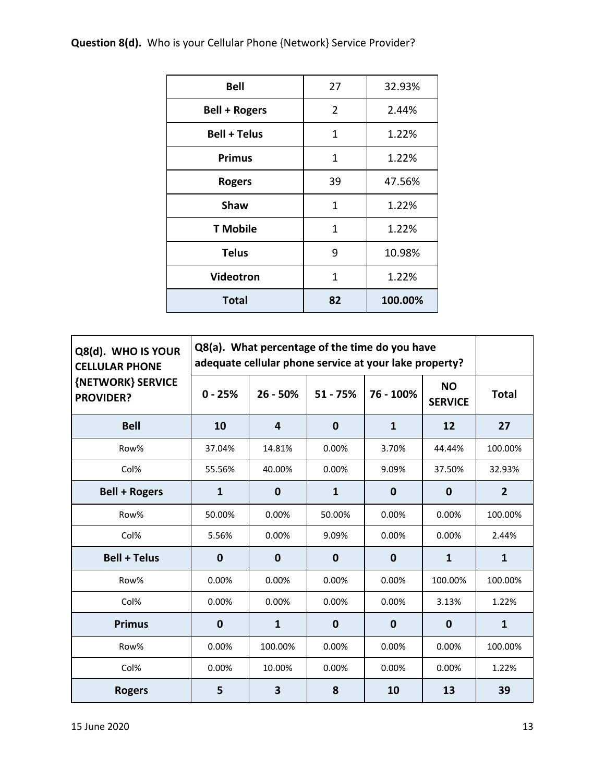**Question 8(d).** Who is your Cellular Phone {Network} Service Provider?

| <b>Total</b>         | 82             | 100.00% |
|----------------------|----------------|---------|
| Videotron            | 1              | 1.22%   |
| <b>Telus</b>         | 9              | 10.98%  |
| <b>T</b> Mobile      | $\mathbf{1}$   | 1.22%   |
| <b>Shaw</b>          | 1              | 1.22%   |
| <b>Rogers</b>        | 39             | 47.56%  |
| <b>Primus</b>        | $\mathbf{1}$   | 1.22%   |
| <b>Bell + Telus</b>  | 1              | 1.22%   |
| <b>Bell + Rogers</b> | $\overline{2}$ | 2.44%   |
| <b>Bell</b>          | 27             | 32.93%  |
|                      |                |         |

| Q8(d). WHO IS YOUR<br><b>CELLULAR PHONE</b> | Q8(a). What percentage of the time do you have<br>adequate cellular phone service at your lake property? |                         |              |              |                             |                |
|---------------------------------------------|----------------------------------------------------------------------------------------------------------|-------------------------|--------------|--------------|-----------------------------|----------------|
| {NETWORK} SERVICE<br><b>PROVIDER?</b>       | $0 - 25%$                                                                                                | $26 - 50%$              | $51 - 75%$   | 76 - 100%    | <b>NO</b><br><b>SERVICE</b> | <b>Total</b>   |
| <b>Bell</b>                                 | 10                                                                                                       | $\overline{\mathbf{4}}$ | $\mathbf 0$  | $\mathbf{1}$ | 12                          | 27             |
| Row%                                        | 37.04%                                                                                                   | 14.81%                  | 0.00%        | 3.70%        | 44.44%                      | 100.00%        |
| Col%                                        | 55.56%                                                                                                   | 40.00%                  | 0.00%        | 9.09%        | 37.50%                      | 32.93%         |
| <b>Bell + Rogers</b>                        | $\mathbf{1}$                                                                                             | $\mathbf 0$             | $\mathbf{1}$ | $\mathbf 0$  | $\mathbf 0$                 | $\overline{2}$ |
| Row%                                        | 50.00%                                                                                                   | 0.00%                   | 50.00%       | 0.00%        | 0.00%                       | 100.00%        |
| Col%                                        | 5.56%                                                                                                    | 0.00%                   | 9.09%        | 0.00%        | 0.00%                       | 2.44%          |
| <b>Bell + Telus</b>                         | 0                                                                                                        | $\mathbf 0$             | $\mathbf 0$  | $\bf{0}$     | $\mathbf{1}$                | 1              |
| Row%                                        | 0.00%                                                                                                    | 0.00%                   | 0.00%        | 0.00%        | 100.00%                     | 100.00%        |
| Col%                                        | 0.00%                                                                                                    | 0.00%                   | 0.00%        | 0.00%        | 3.13%                       | 1.22%          |
| <b>Primus</b>                               | $\bf{0}$                                                                                                 | $\mathbf{1}$            | $\mathbf 0$  | $\mathbf 0$  | $\bf{0}$                    | 1              |
| Row%                                        | 0.00%                                                                                                    | 100.00%                 | 0.00%        | 0.00%        | 0.00%                       | 100.00%        |
| Col%                                        | 0.00%                                                                                                    | 10.00%                  | 0.00%        | 0.00%        | 0.00%                       | 1.22%          |
| <b>Rogers</b>                               | 5                                                                                                        | 3                       | 8            | 10           | 13                          | 39             |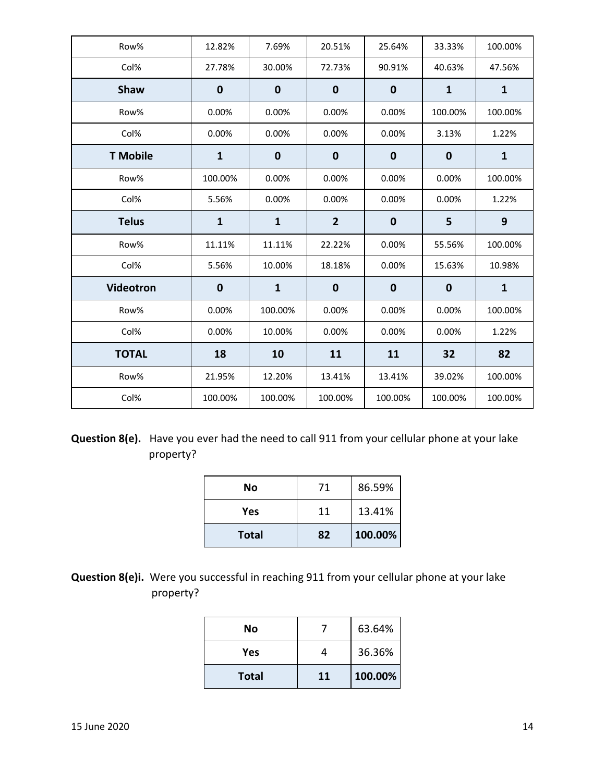| Row%             | 12.82%       | 7.69%        | 20.51%           | 25.64%           | 33.33%       | 100.00%      |
|------------------|--------------|--------------|------------------|------------------|--------------|--------------|
| Col%             | 27.78%       | 30.00%       | 72.73%           | 90.91%           | 40.63%       | 47.56%       |
| <b>Shaw</b>      | $\mathbf 0$  | $\mathbf 0$  | $\mathbf 0$      | $\boldsymbol{0}$ | $\mathbf{1}$ | $\mathbf{1}$ |
| Row%             | 0.00%        | 0.00%        | 0.00%            | 0.00%            | 100.00%      | 100.00%      |
| Col%             | 0.00%        | 0.00%        | 0.00%            | 0.00%            | 3.13%        | 1.22%        |
| <b>T</b> Mobile  | $\mathbf{1}$ | $\mathbf 0$  | $\boldsymbol{0}$ | $\boldsymbol{0}$ | $\mathbf 0$  | $\mathbf{1}$ |
| Row%             | 100.00%      | 0.00%        | 0.00%            | 0.00%            | 0.00%        | 100.00%      |
| Col%             | 5.56%        | 0.00%        | 0.00%            | 0.00%            | 0.00%        | 1.22%        |
| <b>Telus</b>     | $\mathbf{1}$ | $\mathbf{1}$ | $\overline{2}$   | $\boldsymbol{0}$ | 5            | 9            |
| Row%             | 11.11%       | 11.11%       | 22.22%           | 0.00%            | 55.56%       | 100.00%      |
| Col%             | 5.56%        | 10.00%       | 18.18%           | 0.00%            | 15.63%       | 10.98%       |
| <b>Videotron</b> | $\mathbf 0$  | $\mathbf{1}$ | $\boldsymbol{0}$ | $\mathbf 0$      | $\mathbf 0$  | $\mathbf{1}$ |
| Row%             | 0.00%        | 100.00%      | 0.00%            | 0.00%            | 0.00%        | 100.00%      |
| Col%             | 0.00%        | 10.00%       | 0.00%            | 0.00%            | 0.00%        | 1.22%        |
| <b>TOTAL</b>     | 18           | 10           | 11               | 11               | 32           | 82           |
| Row%             | 21.95%       | 12.20%       | 13.41%           | 13.41%           | 39.02%       | 100.00%      |
| Col%             | 100.00%      | 100.00%      | 100.00%          | 100.00%          | 100.00%      | 100.00%      |

**Question 8(e).** Have you ever had the need to call 911 from your cellular phone at your lake property?

| No           | 71 | 86.59%  |
|--------------|----|---------|
| Yes          | 11 | 13.41%  |
| <b>Total</b> | 82 | 100.00% |

**Question 8(e)i.** Were you successful in reaching 911 from your cellular phone at your lake property?

| No           |    | 63.64%  |
|--------------|----|---------|
| Yes          |    | 36.36%  |
| <b>Total</b> | 11 | 100.00% |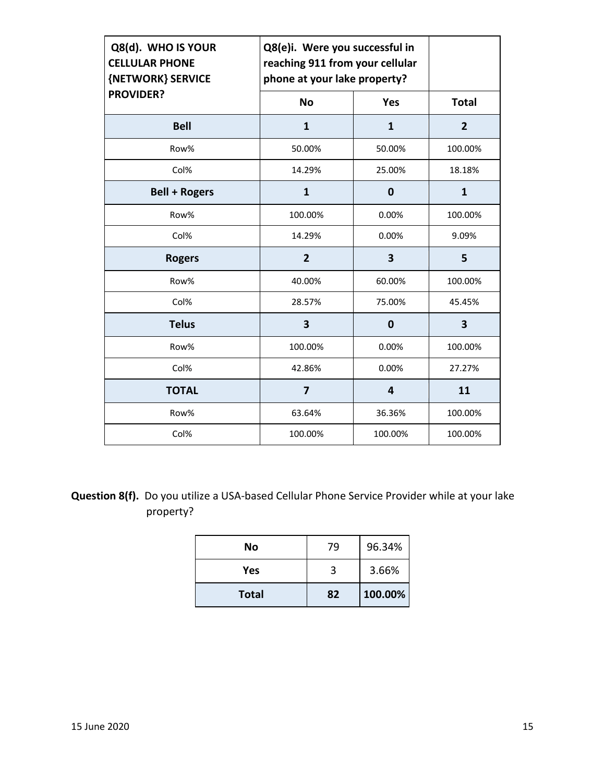| Q8(d). WHO IS YOUR<br><b>CELLULAR PHONE</b><br>{NETWORK} SERVICE | Q8(e)i. Were you successful in<br>reaching 911 from your cellular<br>phone at your lake property? |              |                |
|------------------------------------------------------------------|---------------------------------------------------------------------------------------------------|--------------|----------------|
| <b>PROVIDER?</b>                                                 | <b>No</b>                                                                                         | Yes          | <b>Total</b>   |
| <b>Bell</b>                                                      | 1                                                                                                 | $\mathbf{1}$ | $\overline{2}$ |
| Row%                                                             | 50.00%                                                                                            | 50.00%       | 100.00%        |
| Col%                                                             | 14.29%                                                                                            | 25.00%       | 18.18%         |
| <b>Bell + Rogers</b>                                             | 1                                                                                                 | $\mathbf 0$  | $\mathbf{1}$   |
| Row%                                                             | 100.00%                                                                                           | 0.00%        | 100.00%        |
| Col%                                                             | 14.29%                                                                                            | 0.00%        | 9.09%          |
| <b>Rogers</b>                                                    | $\overline{2}$                                                                                    | 3            | 5              |
| Row%                                                             | 40.00%                                                                                            | 60.00%       | 100.00%        |
| Col%                                                             | 28.57%                                                                                            | 75.00%       | 45.45%         |
| <b>Telus</b>                                                     | 3                                                                                                 | $\mathbf 0$  | 3              |
| Row%                                                             | 100.00%                                                                                           | 0.00%        | 100.00%        |
| Col%                                                             | 42.86%                                                                                            | 0.00%        | 27.27%         |
| <b>TOTAL</b>                                                     | 7                                                                                                 | 4            | 11             |
| Row%                                                             | 63.64%                                                                                            | 36.36%       | 100.00%        |
| Col%                                                             | 100.00%                                                                                           | 100.00%      | 100.00%        |

**Question 8(f).** Do you utilize a USA-based Cellular Phone Service Provider while at your lake property?

| No           | 79 | 96.34%  |
|--------------|----|---------|
| Yes          | 3  | 3.66%   |
| <b>Total</b> | 82 | 100.00% |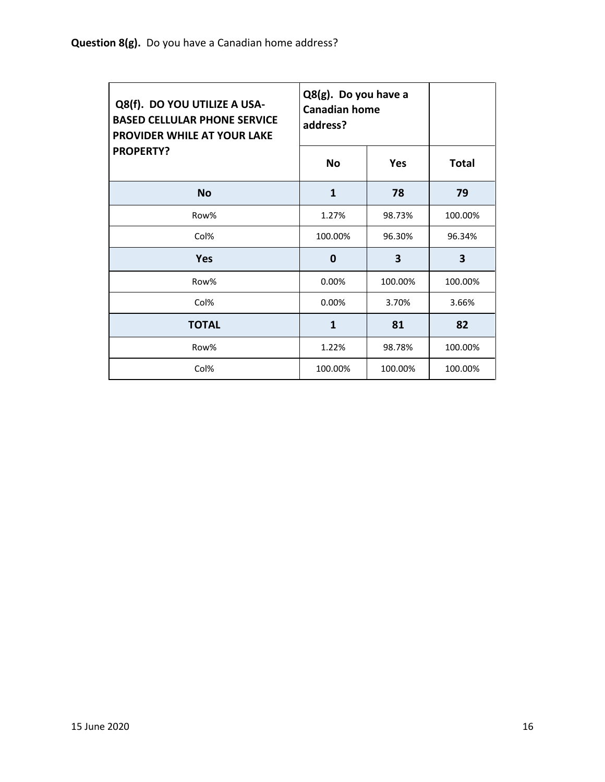| Q8(f). DO YOU UTILIZE A USA-<br><b>BASED CELLULAR PHONE SERVICE</b><br><b>PROVIDER WHILE AT YOUR LAKE</b> | Q8(g). Do you have a<br><b>Canadian home</b><br>address? |            |              |
|-----------------------------------------------------------------------------------------------------------|----------------------------------------------------------|------------|--------------|
| <b>PROPERTY?</b>                                                                                          | <b>No</b>                                                | <b>Yes</b> | <b>Total</b> |
| <b>No</b>                                                                                                 | 1                                                        | 78         | 79           |
| Row%                                                                                                      | 1.27%                                                    | 98.73%     | 100.00%      |
| Col%                                                                                                      | 100.00%                                                  | 96.30%     | 96.34%       |
| <b>Yes</b>                                                                                                | 0                                                        | 3          | 3            |
| Row%                                                                                                      | 0.00%                                                    | 100.00%    | 100.00%      |
| Col%                                                                                                      | $0.00\%$                                                 | 3.70%      | 3.66%        |
| <b>TOTAL</b>                                                                                              | 1                                                        | 81         | 82           |
| Row%                                                                                                      | 1.22%                                                    | 98.78%     | 100.00%      |
| Col%                                                                                                      | 100.00%                                                  | 100.00%    | 100.00%      |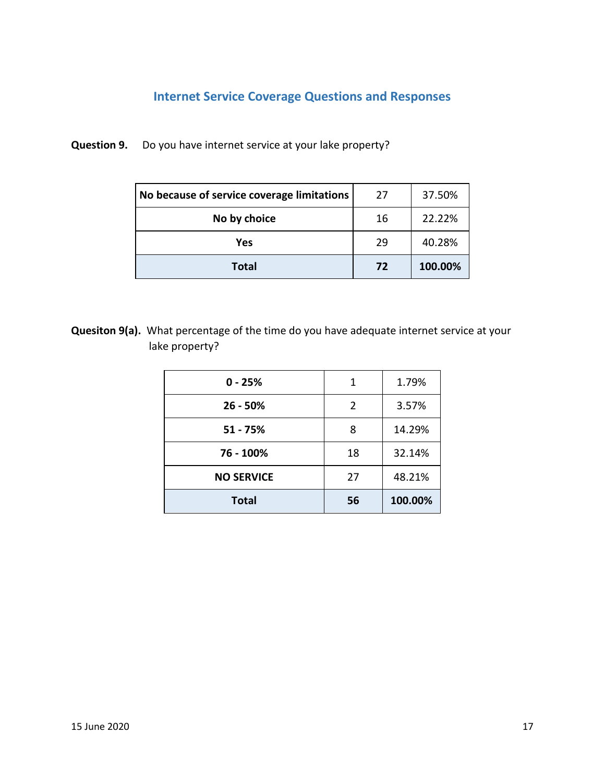# **Internet Service Coverage Questions and Responses**

**Question 9.** Do you have internet service at your lake property?

| No because of service coverage limitations | 27 | 37.50%  |
|--------------------------------------------|----|---------|
| No by choice                               | 16 | 22.22%  |
| Yes                                        | 29 | 40.28%  |
| <b>Total</b>                               | 72 | 100.00% |

**Quesiton 9(a).** What percentage of the time do you have adequate internet service at your lake property?

| $0 - 25%$         | 1              | 1.79%   |
|-------------------|----------------|---------|
| $26 - 50%$        | $\overline{2}$ | 3.57%   |
| $51 - 75%$        | 8              | 14.29%  |
| 76 - 100%         | 18             | 32.14%  |
| <b>NO SERVICE</b> | 27             | 48.21%  |
| <b>Total</b>      | 56             | 100.00% |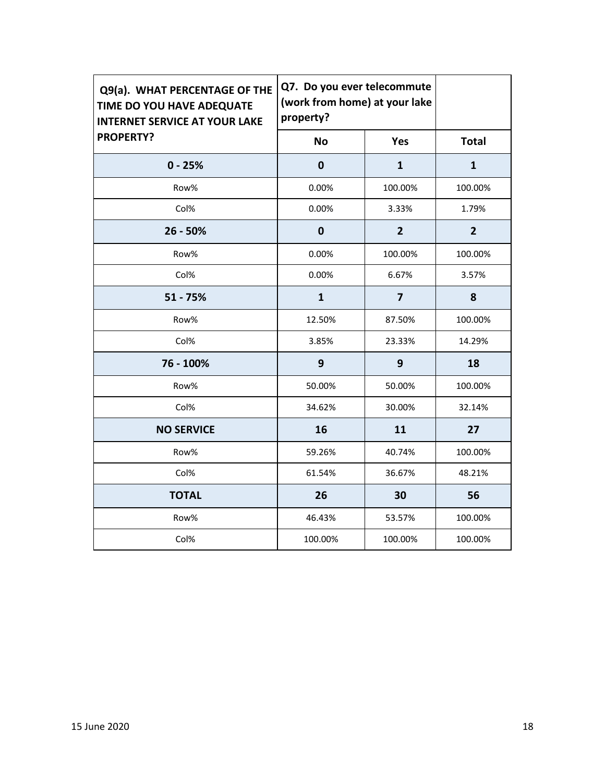| Q9(a). WHAT PERCENTAGE OF THE<br>TIME DO YOU HAVE ADEQUATE<br><b>INTERNET SERVICE AT YOUR LAKE</b> | property?        | Q7. Do you ever telecommute<br>(work from home) at your lake |                |
|----------------------------------------------------------------------------------------------------|------------------|--------------------------------------------------------------|----------------|
| <b>PROPERTY?</b>                                                                                   | <b>No</b>        | Yes                                                          | <b>Total</b>   |
| $0 - 25%$                                                                                          | $\mathbf 0$      | $\mathbf{1}$                                                 | $\mathbf{1}$   |
| Row%                                                                                               | 0.00%            | 100.00%                                                      | 100.00%        |
| Col%                                                                                               | 0.00%            | 3.33%                                                        | 1.79%          |
| $26 - 50%$                                                                                         | $\boldsymbol{0}$ | $\overline{2}$                                               | $\overline{2}$ |
| Row%                                                                                               | 0.00%            | 100.00%                                                      | 100.00%        |
| Col%                                                                                               | 0.00%            | 6.67%                                                        | 3.57%          |
| $51 - 75%$                                                                                         | $\mathbf{1}$     | $\overline{7}$                                               | 8              |
| Row%                                                                                               | 12.50%           | 87.50%                                                       | 100.00%        |
| Col%                                                                                               | 3.85%            | 23.33%                                                       | 14.29%         |
| 76 - 100%                                                                                          | $\mathbf{9}$     | 9                                                            | 18             |
| Row%                                                                                               | 50.00%           | 50.00%                                                       | 100.00%        |
| Col%                                                                                               | 34.62%           | 30.00%                                                       | 32.14%         |
| <b>NO SERVICE</b>                                                                                  | 16               | 11                                                           | 27             |
| Row%                                                                                               | 59.26%           | 40.74%                                                       | 100.00%        |
| Col%                                                                                               | 61.54%           | 36.67%                                                       | 48.21%         |
| <b>TOTAL</b>                                                                                       | 26               | 30                                                           | 56             |
| Row%                                                                                               | 46.43%           | 53.57%                                                       | 100.00%        |
| Col%                                                                                               | 100.00%          | 100.00%                                                      | 100.00%        |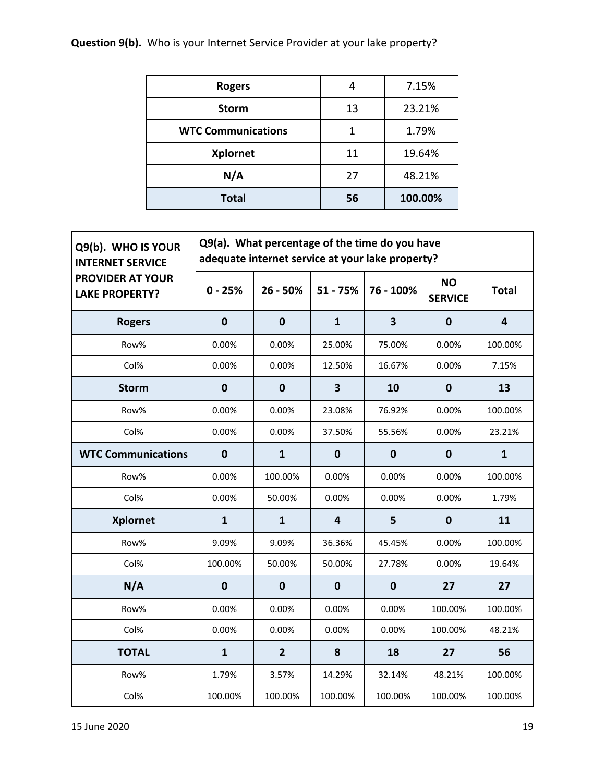# **Question 9(b).** Who is your Internet Service Provider at your lake property?

| <b>Rogers</b>             | 4  | 7.15%   |
|---------------------------|----|---------|
| <b>Storm</b>              | 13 | 23.21%  |
| <b>WTC Communications</b> | 1  | 1.79%   |
| <b>Xplornet</b>           | 11 | 19.64%  |
| N/A                       | 27 | 48.21%  |
| <b>Total</b>              | 56 | 100.00% |

| Q9(b). WHO IS YOUR<br><b>INTERNET SERVICE</b>    | Q9(a). What percentage of the time do you have<br>adequate internet service at your lake property? |                |                         |                         |                             |              |
|--------------------------------------------------|----------------------------------------------------------------------------------------------------|----------------|-------------------------|-------------------------|-----------------------------|--------------|
| <b>PROVIDER AT YOUR</b><br><b>LAKE PROPERTY?</b> | $0 - 25%$                                                                                          | $26 - 50%$     | $51 - 75%$              | 76 - 100%               | <b>NO</b><br><b>SERVICE</b> | <b>Total</b> |
| <b>Rogers</b>                                    | $\mathbf 0$                                                                                        | $\mathbf 0$    | $\mathbf{1}$            | $\overline{\mathbf{3}}$ | $\boldsymbol{0}$            | 4            |
| Row%                                             | 0.00%                                                                                              | 0.00%          | 25.00%                  | 75.00%                  | 0.00%                       | 100.00%      |
| Col%                                             | 0.00%                                                                                              | 0.00%          | 12.50%                  | 16.67%                  | 0.00%                       | 7.15%        |
| <b>Storm</b>                                     | $\mathbf 0$                                                                                        | $\mathbf 0$    | $\overline{\mathbf{3}}$ | 10                      | $\mathbf 0$                 | 13           |
| Row%                                             | 0.00%                                                                                              | 0.00%          | 23.08%                  | 76.92%                  | 0.00%                       | 100.00%      |
| Col%                                             | 0.00%                                                                                              | 0.00%          | 37.50%                  | 55.56%                  | 0.00%                       | 23.21%       |
| <b>WTC Communications</b>                        | $\mathbf 0$                                                                                        | $\mathbf{1}$   | $\mathbf 0$             | $\bf{0}$                | $\mathbf 0$                 | $\mathbf{1}$ |
| Row%                                             | 0.00%                                                                                              | 100.00%        | 0.00%                   | 0.00%                   | 0.00%                       | 100.00%      |
| Col%                                             | 0.00%                                                                                              | 50.00%         | 0.00%                   | 0.00%                   | 0.00%                       | 1.79%        |
| <b>Xplornet</b>                                  | $\mathbf{1}$                                                                                       | $\mathbf{1}$   | $\overline{4}$          | 5                       | $\bf{0}$                    | 11           |
| Row%                                             | 9.09%                                                                                              | 9.09%          | 36.36%                  | 45.45%                  | 0.00%                       | 100.00%      |
| Col%                                             | 100.00%                                                                                            | 50.00%         | 50.00%                  | 27.78%                  | 0.00%                       | 19.64%       |
| N/A                                              | $\mathbf 0$                                                                                        | $\pmb{0}$      | $\mathbf 0$             | $\mathbf 0$             | 27                          | 27           |
| Row%                                             | 0.00%                                                                                              | 0.00%          | 0.00%                   | 0.00%                   | 100.00%                     | 100.00%      |
| Col%                                             | 0.00%                                                                                              | 0.00%          | 0.00%                   | 0.00%                   | 100.00%                     | 48.21%       |
| <b>TOTAL</b>                                     | $\mathbf{1}$                                                                                       | $\overline{2}$ | 8                       | 18                      | 27                          | 56           |
| Row%                                             | 1.79%                                                                                              | 3.57%          | 14.29%                  | 32.14%                  | 48.21%                      | 100.00%      |
| Col%                                             | 100.00%                                                                                            | 100.00%        | 100.00%                 | 100.00%                 | 100.00%                     | 100.00%      |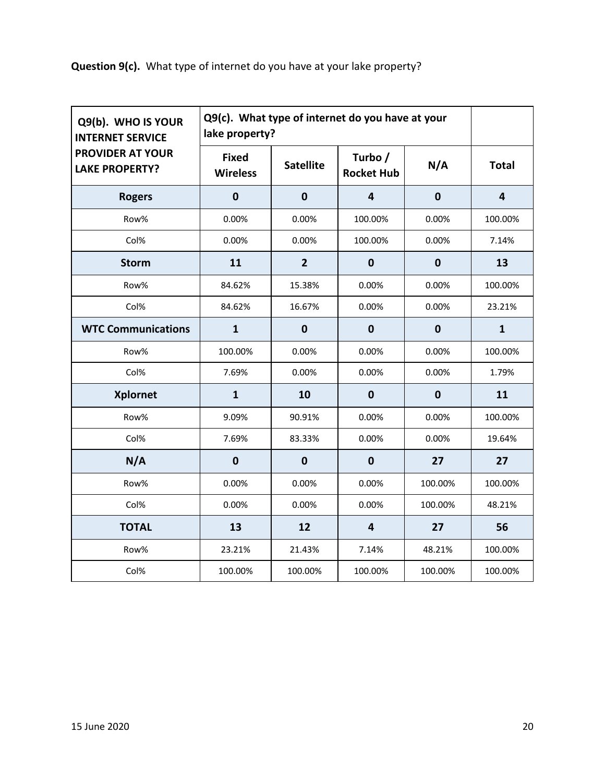**Question 9(c).** What type of internet do you have at your lake property?

| Q9(b). WHO IS YOUR<br><b>INTERNET SERVICE</b>    | Q9(c). What type of internet do you have at your<br>lake property? |                  |                              |             |                |
|--------------------------------------------------|--------------------------------------------------------------------|------------------|------------------------------|-------------|----------------|
| <b>PROVIDER AT YOUR</b><br><b>LAKE PROPERTY?</b> | <b>Fixed</b><br><b>Wireless</b>                                    | <b>Satellite</b> | Turbo /<br><b>Rocket Hub</b> | N/A         | <b>Total</b>   |
| <b>Rogers</b>                                    | $\mathbf 0$                                                        | $\mathbf 0$      | $\overline{4}$               | $\mathbf 0$ | $\overline{4}$ |
| Row%                                             | 0.00%                                                              | 0.00%            | 100.00%                      | 0.00%       | 100.00%        |
| Col%                                             | 0.00%                                                              | 0.00%            | 100.00%                      | 0.00%       | 7.14%          |
| <b>Storm</b>                                     | 11                                                                 | $\overline{2}$   | $\mathbf 0$                  | $\mathbf 0$ | 13             |
| Row%                                             | 84.62%                                                             | 15.38%           | 0.00%                        | 0.00%       | 100.00%        |
| Col%                                             | 84.62%                                                             | 16.67%           | 0.00%                        | 0.00%       | 23.21%         |
| <b>WTC Communications</b>                        | $\mathbf{1}$                                                       | $\mathbf 0$      | $\bf{0}$                     | $\mathbf 0$ | $\mathbf{1}$   |
| Row%                                             | 100.00%                                                            | 0.00%            | 0.00%                        | 0.00%       | 100.00%        |
| Col%                                             | 7.69%                                                              | 0.00%            | 0.00%                        | 0.00%       | 1.79%          |
| <b>Xplornet</b>                                  | $\mathbf{1}$                                                       | 10               | $\mathbf 0$                  | $\mathbf 0$ | 11             |
| Row%                                             | 9.09%                                                              | 90.91%           | 0.00%                        | 0.00%       | 100.00%        |
| Col%                                             | 7.69%                                                              | 83.33%           | 0.00%                        | 0.00%       | 19.64%         |
| N/A                                              | $\mathbf 0$                                                        | $\mathbf 0$      | $\bf{0}$                     | 27          | 27             |
| Row%                                             | 0.00%                                                              | 0.00%            | 0.00%                        | 100.00%     | 100.00%        |
| Col%                                             | 0.00%                                                              | 0.00%            | 0.00%                        | 100.00%     | 48.21%         |
| <b>TOTAL</b>                                     | 13                                                                 | 12               | $\overline{4}$               | 27          | 56             |
| Row%                                             | 23.21%                                                             | 21.43%           | 7.14%                        | 48.21%      | 100.00%        |
| Col%                                             | 100.00%                                                            | 100.00%          | 100.00%                      | 100.00%     | 100.00%        |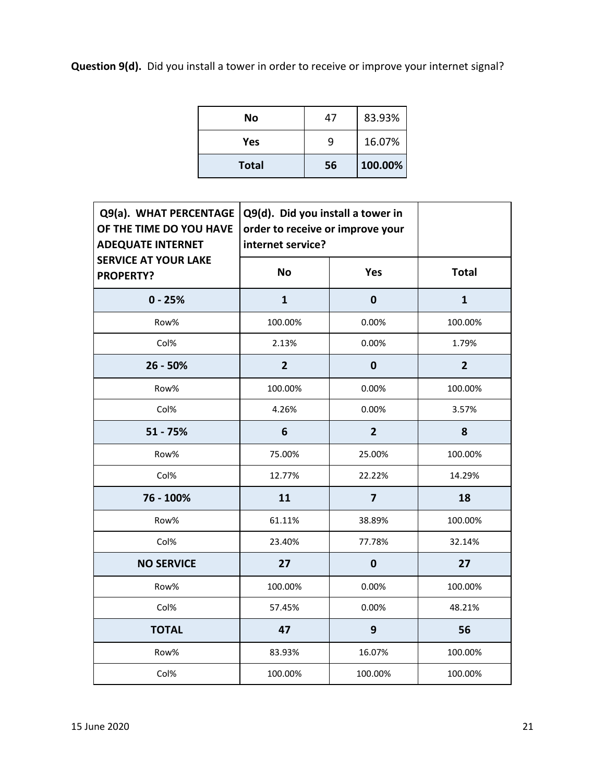**Question 9(d).** Did you install a tower in order to receive or improve your internet signal?

| No           | 47 | 83.93%  |
|--------------|----|---------|
| Yes          | q  | 16.07%  |
| <b>Total</b> | 56 | 100.00% |

| Q9(a). WHAT PERCENTAGE<br>OF THE TIME DO YOU HAVE<br><b>ADEQUATE INTERNET</b> | Q9(d). Did you install a tower in<br>order to receive or improve your<br>internet service? |                |                |
|-------------------------------------------------------------------------------|--------------------------------------------------------------------------------------------|----------------|----------------|
| <b>SERVICE AT YOUR LAKE</b><br><b>PROPERTY?</b>                               | <b>No</b>                                                                                  | Yes            | <b>Total</b>   |
| $0 - 25%$                                                                     | $\mathbf{1}$                                                                               | $\mathbf 0$    | $\mathbf{1}$   |
| Row%                                                                          | 100.00%                                                                                    | 0.00%          | 100.00%        |
| Col%                                                                          | 2.13%                                                                                      | 0.00%          | 1.79%          |
| 26 - 50%                                                                      | $\overline{2}$                                                                             | $\mathbf 0$    | $\overline{2}$ |
| Row%                                                                          | 100.00%                                                                                    | 0.00%          | 100.00%        |
| Col%                                                                          | 4.26%                                                                                      | 0.00%          | 3.57%          |
| $51 - 75%$                                                                    | 6                                                                                          | $\overline{2}$ | 8              |
| Row%                                                                          | 75.00%                                                                                     | 25.00%         | 100.00%        |
| Col%                                                                          | 12.77%                                                                                     | 22.22%         | 14.29%         |
| 76 - 100%                                                                     | 11                                                                                         | $\overline{7}$ | 18             |
| Row%                                                                          | 61.11%                                                                                     | 38.89%         | 100.00%        |
| Col%                                                                          | 23.40%                                                                                     | 77.78%         | 32.14%         |
| <b>NO SERVICE</b>                                                             | 27                                                                                         | $\mathbf 0$    | 27             |
| Row%                                                                          | 100.00%                                                                                    | 0.00%          | 100.00%        |
| Col%                                                                          | 57.45%                                                                                     | 0.00%          | 48.21%         |
| <b>TOTAL</b>                                                                  | 47                                                                                         | 9              | 56             |
| Row%                                                                          | 83.93%                                                                                     | 16.07%         | 100.00%        |
| Col%                                                                          | 100.00%                                                                                    | 100.00%        | 100.00%        |